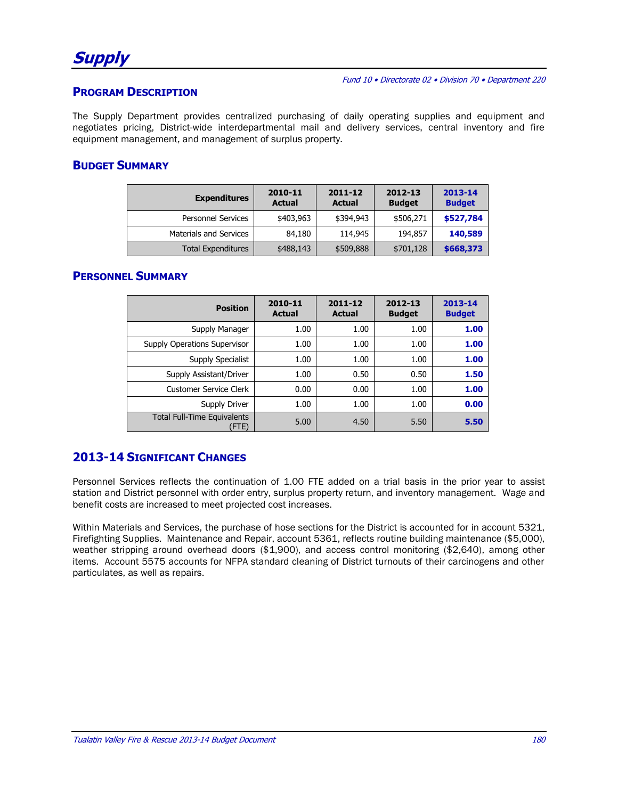#### **PROGRAM DESCRIPTION**

The Supply Department provides centralized purchasing of daily operating supplies and equipment and negotiates pricing, District-wide interdepartmental mail and delivery services, central inventory and fire equipment management, and management of surplus property.

### **BUDGET SUMMARY**

| <b>Expenditures</b>           | 2010-11<br><b>Actual</b> | $2011 - 12$<br><b>Actual</b> | 2012-13<br><b>Budget</b> | 2013-14<br><b>Budget</b> |
|-------------------------------|--------------------------|------------------------------|--------------------------|--------------------------|
| <b>Personnel Services</b>     | \$403,963                | \$394,943                    | \$506,271                | \$527,784                |
| <b>Materials and Services</b> | 84,180                   | 114,945                      | 194,857                  | 140,589                  |
| <b>Total Expenditures</b>     | \$488,143                | \$509,888                    | \$701,128                | \$668,373                |

#### **PERSONNEL SUMMARY**

| <b>Position</b>                             | 2010-11<br><b>Actual</b> | 2011-12<br><b>Actual</b> | 2012-13<br><b>Budget</b> | 2013-14<br><b>Budget</b> |
|---------------------------------------------|--------------------------|--------------------------|--------------------------|--------------------------|
| Supply Manager                              | 1.00                     | 1.00                     | 1.00                     | 1.00                     |
| <b>Supply Operations Supervisor</b>         | 1.00                     | 1.00                     | 1.00                     | 1.00                     |
| Supply Specialist                           | 1.00                     | 1.00                     | 1.00                     | 1.00                     |
| Supply Assistant/Driver                     | 1.00                     | 0.50                     | 0.50                     | 1.50                     |
| <b>Customer Service Clerk</b>               | 0.00                     | 0.00                     | 1.00                     | 1.00                     |
| Supply Driver                               | 1.00                     | 1.00                     | 1.00                     | 0.00                     |
| <b>Total Full-Time Equivalents</b><br>(FTE) | 5.00                     | 4.50                     | 5.50                     | 5.50                     |

## **2013-14 SIGNIFICANT CHANGES**

Personnel Services reflects the continuation of 1.00 FTE added on a trial basis in the prior year to assist station and District personnel with order entry, surplus property return, and inventory management. Wage and benefit costs are increased to meet projected cost increases.

Within Materials and Services, the purchase of hose sections for the District is accounted for in account 5321, Firefighting Supplies. Maintenance and Repair, account 5361, reflects routine building maintenance (\$5,000), weather stripping around overhead doors (\$1,900), and access control monitoring (\$2,640), among other items. Account 5575 accounts for NFPA standard cleaning of District turnouts of their carcinogens and other particulates, as well as repairs.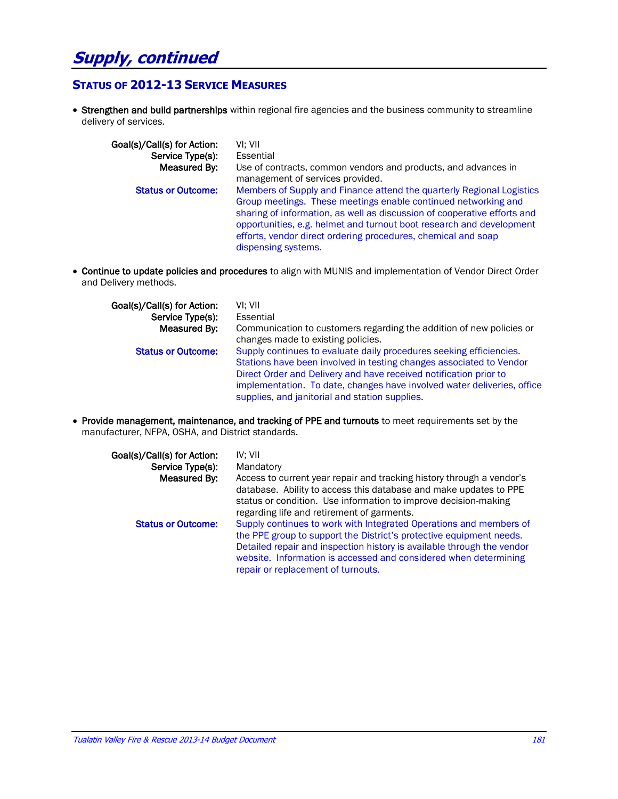# **Supply, continued**

#### **STATUS OF 2012-13 SERVICE MEASURES**

 Strengthen and build partnerships within regional fire agencies and the business community to streamline delivery of services.

| Goal(s)/Call(s) for Action:<br>Service Type(s):<br>Measured By: | VI: VII<br>Essential<br>Use of contracts, common vendors and products, and advances in<br>management of services provided.                                                                                                                                                                                                                                                          |
|-----------------------------------------------------------------|-------------------------------------------------------------------------------------------------------------------------------------------------------------------------------------------------------------------------------------------------------------------------------------------------------------------------------------------------------------------------------------|
| <b>Status or Outcome:</b>                                       | Members of Supply and Finance attend the quarterly Regional Logistics<br>Group meetings. These meetings enable continued networking and<br>sharing of information, as well as discussion of cooperative efforts and<br>opportunities, e.g. helmet and turnout boot research and development<br>efforts, vendor direct ordering procedures, chemical and soap<br>dispensing systems. |

 Continue to update policies and procedures to align with MUNIS and implementation of Vendor Direct Order and Delivery methods.

| Goal(s)/Call(s) for Action:<br>Service Type(s):<br>Measured By: | VI: VII<br>Essential<br>Communication to customers regarding the addition of new policies or<br>changes made to existing policies.                                                                                                                                                                                                           |
|-----------------------------------------------------------------|----------------------------------------------------------------------------------------------------------------------------------------------------------------------------------------------------------------------------------------------------------------------------------------------------------------------------------------------|
| <b>Status or Outcome:</b>                                       | Supply continues to evaluate daily procedures seeking efficiencies.<br>Stations have been involved in testing changes associated to Vendor<br>Direct Order and Delivery and have received notification prior to<br>implementation. To date, changes have involved water deliveries, office<br>supplies, and janitorial and station supplies. |

 Provide management, maintenance, and tracking of PPE and turnouts to meet requirements set by the manufacturer, NFPA, OSHA, and District standards.

| Goal(s)/Call(s) for Action:<br>Service Type(s):<br>Measured By: | IV: VII<br>Mandatory<br>Access to current year repair and tracking history through a vendor's<br>database. Ability to access this database and make updates to PPE<br>status or condition. Use information to improve decision-making                                                                                                                                       |
|-----------------------------------------------------------------|-----------------------------------------------------------------------------------------------------------------------------------------------------------------------------------------------------------------------------------------------------------------------------------------------------------------------------------------------------------------------------|
| <b>Status or Outcome:</b>                                       | regarding life and retirement of garments.<br>Supply continues to work with Integrated Operations and members of<br>the PPE group to support the District's protective equipment needs.<br>Detailed repair and inspection history is available through the vendor<br>website. Information is accessed and considered when determining<br>repair or replacement of turnouts. |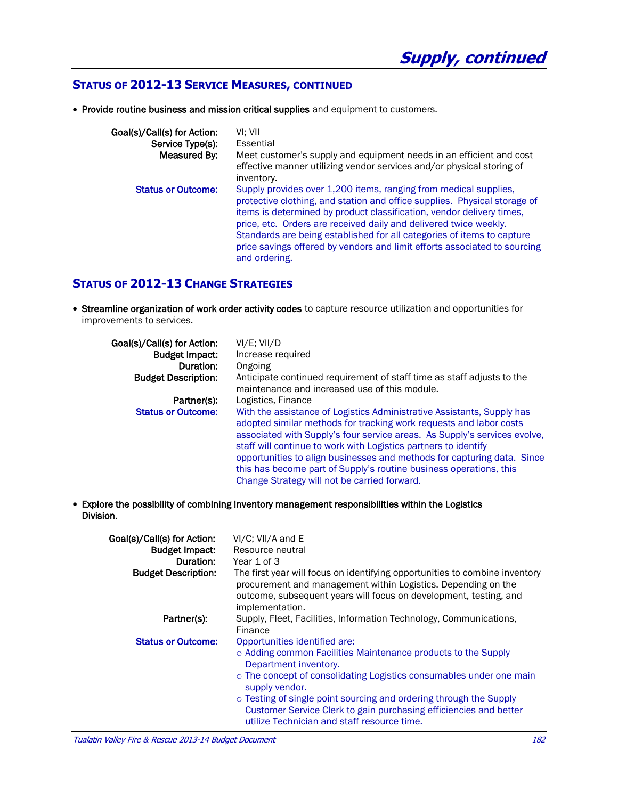#### **STATUS OF 2012-13 SERVICE MEASURES, CONTINUED**

Provide routine business and mission critical supplies and equipment to customers.

| Goal(s)/Call(s) for Action: | VI: VII                                                                                                                                                                                                                                                                                                                                                                                                                                                             |
|-----------------------------|---------------------------------------------------------------------------------------------------------------------------------------------------------------------------------------------------------------------------------------------------------------------------------------------------------------------------------------------------------------------------------------------------------------------------------------------------------------------|
| Service Type(s):            | Essential                                                                                                                                                                                                                                                                                                                                                                                                                                                           |
| Measured By:                | Meet customer's supply and equipment needs in an efficient and cost<br>effective manner utilizing vendor services and/or physical storing of<br>inventory.                                                                                                                                                                                                                                                                                                          |
| <b>Status or Outcome:</b>   | Supply provides over 1,200 items, ranging from medical supplies,<br>protective clothing, and station and office supplies. Physical storage of<br>items is determined by product classification, vendor delivery times,<br>price, etc. Orders are received daily and delivered twice weekly.<br>Standards are being established for all categories of items to capture<br>price savings offered by vendors and limit efforts associated to sourcing<br>and ordering. |

#### **STATUS OF 2012-13 CHANGE STRATEGIES**

 Streamline organization of work order activity codes to capture resource utilization and opportunities for improvements to services.

| Goal(s)/Call(s) for Action: | $VI/E$ ; $VII/D$                                                                                                                                                                                                                                                                                                                                                                                                                                                                              |
|-----------------------------|-----------------------------------------------------------------------------------------------------------------------------------------------------------------------------------------------------------------------------------------------------------------------------------------------------------------------------------------------------------------------------------------------------------------------------------------------------------------------------------------------|
| <b>Budget Impact:</b>       | Increase required                                                                                                                                                                                                                                                                                                                                                                                                                                                                             |
| Duration:                   | Ongoing                                                                                                                                                                                                                                                                                                                                                                                                                                                                                       |
| <b>Budget Description:</b>  | Anticipate continued requirement of staff time as staff adjusts to the                                                                                                                                                                                                                                                                                                                                                                                                                        |
|                             | maintenance and increased use of this module.                                                                                                                                                                                                                                                                                                                                                                                                                                                 |
| Partner(s):                 | Logistics, Finance                                                                                                                                                                                                                                                                                                                                                                                                                                                                            |
| <b>Status or Outcome:</b>   | With the assistance of Logistics Administrative Assistants, Supply has<br>adopted similar methods for tracking work requests and labor costs<br>associated with Supply's four service areas. As Supply's services evolve,<br>staff will continue to work with Logistics partners to identify<br>opportunities to align businesses and methods for capturing data. Since<br>this has become part of Supply's routine business operations, this<br>Change Strategy will not be carried forward. |

 Explore the possibility of combining inventory management responsibilities within the Logistics Division.

| Goal(s)/Call(s) for Action:<br><b>Budget Impact:</b><br>Duration: | VI/C; VII/A and E<br>Resource neutral<br>Year 1 of 3                                                                                                                                                                                                                                                                                                                                                             |
|-------------------------------------------------------------------|------------------------------------------------------------------------------------------------------------------------------------------------------------------------------------------------------------------------------------------------------------------------------------------------------------------------------------------------------------------------------------------------------------------|
| <b>Budget Description:</b>                                        | The first year will focus on identifying opportunities to combine inventory<br>procurement and management within Logistics. Depending on the<br>outcome, subsequent years will focus on development, testing, and<br>implementation.                                                                                                                                                                             |
| Partner(s):                                                       | Supply, Fleet, Facilities, Information Technology, Communications,<br>Finance                                                                                                                                                                                                                                                                                                                                    |
| <b>Status or Outcome:</b>                                         | Opportunities identified are:<br>○ Adding common Facilities Maintenance products to the Supply<br>Department inventory.<br>$\circ$ The concept of consolidating Logistics consumables under one main<br>supply vendor.<br>○ Testing of single point sourcing and ordering through the Supply<br>Customer Service Clerk to gain purchasing efficiencies and better<br>utilize Technician and staff resource time. |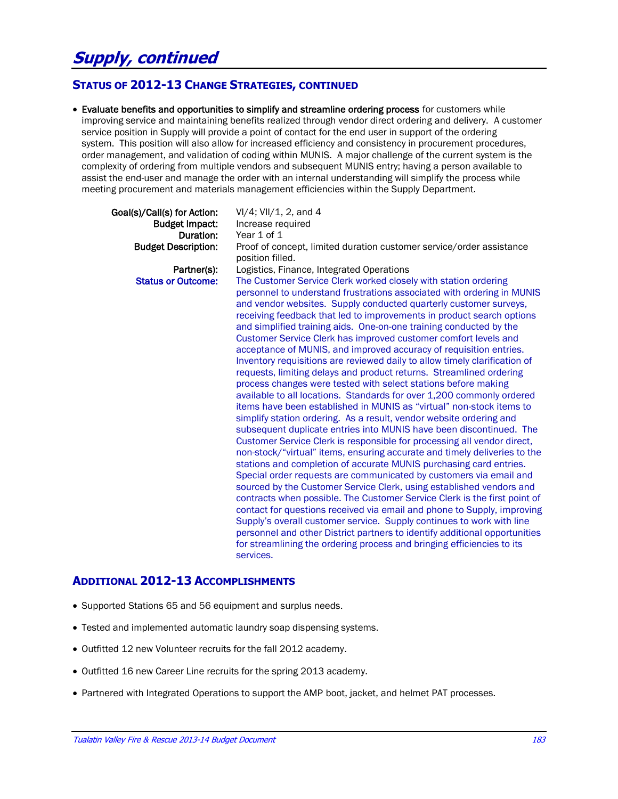#### **STATUS OF 2012-13 CHANGE STRATEGIES, CONTINUED**

 Evaluate benefits and opportunities to simplify and streamline ordering process for customers while improving service and maintaining benefits realized through vendor direct ordering and delivery. A customer service position in Supply will provide a point of contact for the end user in support of the ordering system. This position will also allow for increased efficiency and consistency in procurement procedures, order management, and validation of coding within MUNIS. A major challenge of the current system is the complexity of ordering from multiple vendors and subsequent MUNIS entry; having a person available to assist the end-user and manage the order with an internal understanding will simplify the process while meeting procurement and materials management efficiencies within the Supply Department.

#### Goal(s)/Call(s) for Action:  $V1/4$ ;  $V1/1$ , 2, and 4 Budget Impact: Increase required Duration: Year 1 of 1 **Budget Description:** Proof of concept, limited duration customer service/order assistance position filled. Partner(s): Logistics, Finance, Integrated Operations Status or Outcome: The Customer Service Clerk worked closely with station ordering personnel to understand frustrations associated with ordering in MUNIS and vendor websites. Supply conducted quarterly customer surveys, receiving feedback that led to improvements in product search options and simplified training aids. One-on-one training conducted by the Customer Service Clerk has improved customer comfort levels and acceptance of MUNIS, and improved accuracy of requisition entries. Inventory requisitions are reviewed daily to allow timely clarification of requests, limiting delays and product returns. Streamlined ordering process changes were tested with select stations before making available to all locations. Standards for over 1,200 commonly ordered items have been established in MUNIS as "virtual" non-stock items to simplify station ordering. As a result, vendor website ordering and subsequent duplicate entries into MUNIS have been discontinued. The Customer Service Clerk is responsible for processing all vendor direct, non-stock/"virtual" items, ensuring accurate and timely deliveries to the stations and completion of accurate MUNIS purchasing card entries. Special order requests are communicated by customers via email and sourced by the Customer Service Clerk, using established vendors and contracts when possible. The Customer Service Clerk is the first point of contact for questions received via email and phone to Supply, improving Supply's overall customer service. Supply continues to work with line personnel and other District partners to identify additional opportunities for streamlining the ordering process and bringing efficiencies to its services.

#### **ADDITIONAL 2012-13 ACCOMPLISHMENTS**

- Supported Stations 65 and 56 equipment and surplus needs.
- Tested and implemented automatic laundry soap dispensing systems.
- Outfitted 12 new Volunteer recruits for the fall 2012 academy.
- Outfitted 16 new Career Line recruits for the spring 2013 academy.
- Partnered with Integrated Operations to support the AMP boot, jacket, and helmet PAT processes.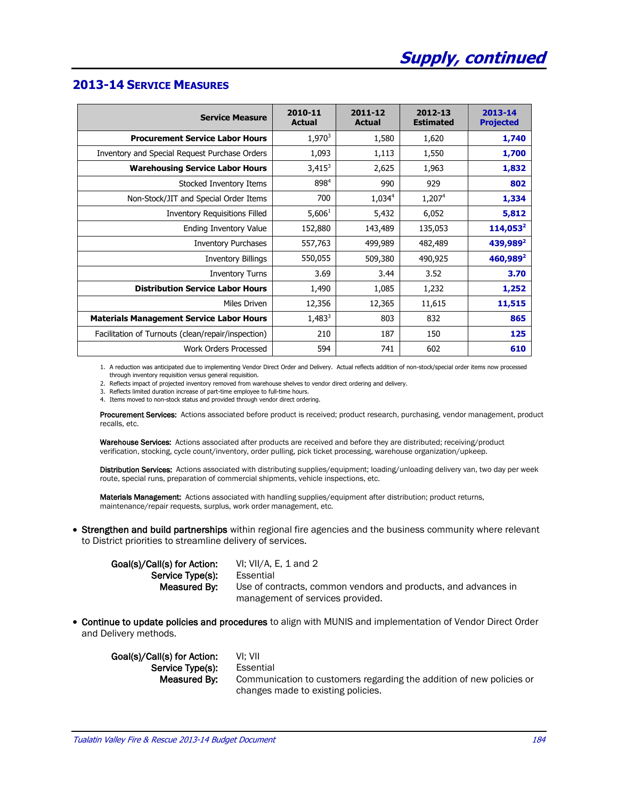| <b>Service Measure</b>                             | 2010-11<br><b>Actual</b> | 2011-12<br><b>Actual</b> | 2012-13<br><b>Estimated</b> | 2013-14<br><b>Projected</b> |
|----------------------------------------------------|--------------------------|--------------------------|-----------------------------|-----------------------------|
| <b>Procurement Service Labor Hours</b>             | 1,970 <sup>3</sup>       | 1,580                    | 1,620                       | 1,740                       |
| Inventory and Special Request Purchase Orders      | 1,093                    | 1,113                    | 1,550                       | 1,700                       |
| <b>Warehousing Service Labor Hours</b>             | $3,415^3$                | 2,625                    | 1,963                       | 1,832                       |
| Stocked Inventory Items                            | 8984                     | 990                      | 929                         | 802                         |
| Non-Stock/JIT and Special Order Items              | 700                      | $1,034^4$                | 1,207 <sup>4</sup>          | 1,334                       |
| <b>Inventory Requisitions Filled</b>               | 5,606 <sup>1</sup>       | 5,432                    | 6,052                       | 5,812                       |
| Ending Inventory Value                             | 152,880                  | 143,489                  | 135,053                     | $114,053^2$                 |
| <b>Inventory Purchases</b>                         | 557,763                  | 499,989                  | 482,489                     | 439,989 <sup>2</sup>        |
| <b>Inventory Billings</b>                          | 550,055                  | 509,380                  | 490,925                     | 460,989 <sup>2</sup>        |
| <b>Inventory Turns</b>                             | 3.69                     | 3.44                     | 3.52                        | 3.70                        |
| <b>Distribution Service Labor Hours</b>            | 1,490                    | 1,085                    | 1,232                       | 1,252                       |
| Miles Driven                                       | 12,356                   | 12,365                   | 11,615                      | 11,515                      |
| <b>Materials Management Service Labor Hours</b>    | $1,483^3$                | 803                      | 832                         | 865                         |
| Facilitation of Turnouts (clean/repair/inspection) | 210                      | 187                      | 150                         | 125                         |
| Work Orders Processed                              | 594                      | 741                      | 602                         | 610                         |

### **2013-14 SERVICE MEASURES**

1. A reduction was anticipated due to implementing Vendor Direct Order and Delivery. Actual reflects addition of non-stock/special order items now processed through inventory requisition versus general requisition.

2. Reflects impact of projected inventory removed from warehouse shelves to vendor direct ordering and delivery.

3. Reflects limited duration increase of part-time employee to full-time hours.

4. Items moved to non-stock status and provided through vendor direct ordering.

Procurement Services: Actions associated before product is received; product research, purchasing, vendor management, product recalls, etc.

Warehouse Services: Actions associated after products are received and before they are distributed; receiving/product verification, stocking, cycle count/inventory, order pulling, pick ticket processing, warehouse organization/upkeep.

Distribution Services: Actions associated with distributing supplies/equipment; loading/unloading delivery van, two day per week route, special runs, preparation of commercial shipments, vehicle inspections, etc.

Materials Management: Actions associated with handling supplies/equipment after distribution; product returns, maintenance/repair requests, surplus, work order management, etc.

• Strengthen and build partnerships within regional fire agencies and the business community where relevant to District priorities to streamline delivery of services.

| Goal(s)/Call(s) for Action: | VI: VII/A, E, 1 and 2                                          |
|-----------------------------|----------------------------------------------------------------|
| Service Type(s):            | Essential                                                      |
| Measured By:                | Use of contracts, common vendors and products, and advances in |
|                             | management of services provided.                               |

 Continue to update policies and procedures to align with MUNIS and implementation of Vendor Direct Order and Delivery methods.

| Goal(s)/Call(s) for Action: | VI: VII                                                              |
|-----------------------------|----------------------------------------------------------------------|
| Service Type(s):            | Essential                                                            |
| Measured By:                | Communication to customers regarding the addition of new policies or |
|                             | changes made to existing policies.                                   |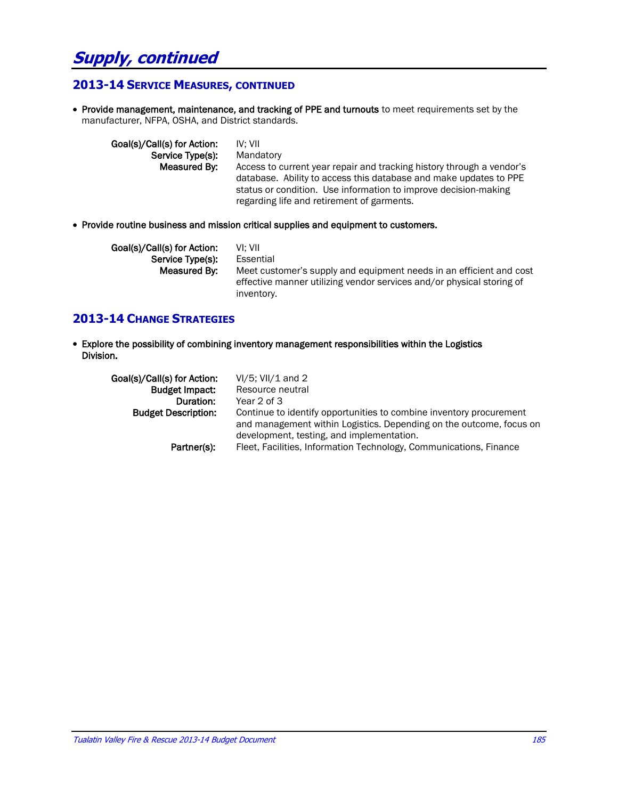# **Supply, continued**

### **2013-14 SERVICE MEASURES, CONTINUED**

• Provide management, maintenance, and tracking of PPE and turnouts to meet requirements set by the manufacturer, NFPA, OSHA, and District standards.

| Goal(s)/Call(s) for Action:<br>Service Type(s): | IV: VII<br>Mandatory                                                                                                                                                                                                                                        |
|-------------------------------------------------|-------------------------------------------------------------------------------------------------------------------------------------------------------------------------------------------------------------------------------------------------------------|
|                                                 |                                                                                                                                                                                                                                                             |
| Measured By:                                    | Access to current year repair and tracking history through a vendor's<br>database. Ability to access this database and make updates to PPE<br>status or condition. Use information to improve decision-making<br>regarding life and retirement of garments. |

Provide routine business and mission critical supplies and equipment to customers.

| Goal(s)/Call(s) for Action: | VI: VII                                                                                                                                                    |
|-----------------------------|------------------------------------------------------------------------------------------------------------------------------------------------------------|
| Service Type(s):            | Essential                                                                                                                                                  |
| Measured By:                | Meet customer's supply and equipment needs in an efficient and cost<br>effective manner utilizing vendor services and/or physical storing of<br>inventory. |

#### **2013-14 CHANGE STRATEGIES**

 Explore the possibility of combining inventory management responsibilities within the Logistics Division.

| Goal(s)/Call(s) for Action:<br><b>Budget Impact:</b><br>Duration:<br><b>Budget Description:</b><br>Partner(s): | $VI/5$ ; VII/1 and 2<br>Resource neutral<br>Year 2 of 3<br>Continue to identify opportunities to combine inventory procurement<br>and management within Logistics. Depending on the outcome, focus on<br>development, testing, and implementation.<br>Fleet, Facilities, Information Technology, Communications, Finance |
|----------------------------------------------------------------------------------------------------------------|--------------------------------------------------------------------------------------------------------------------------------------------------------------------------------------------------------------------------------------------------------------------------------------------------------------------------|
|                                                                                                                |                                                                                                                                                                                                                                                                                                                          |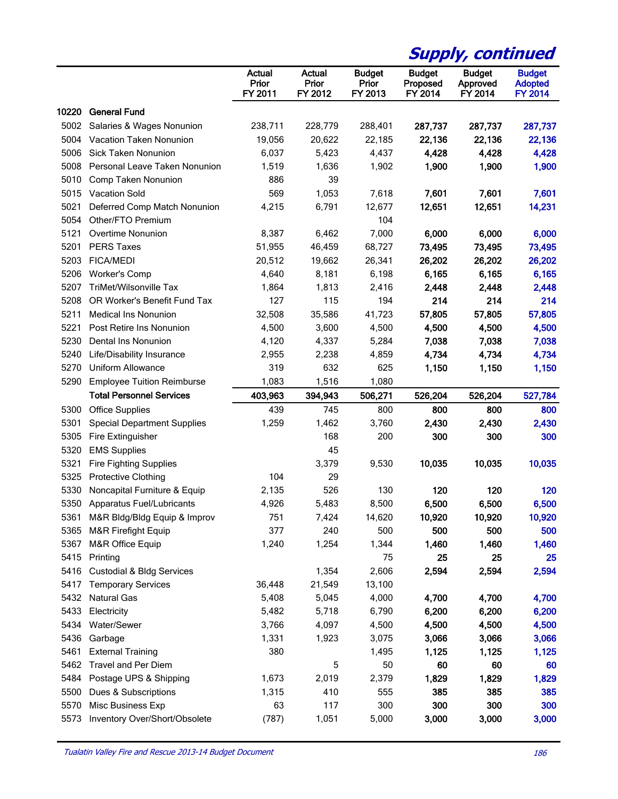|       |                                                                   |                                   |                                   |                                   | <b>Supply, continued</b>             |                                      |                                                   |
|-------|-------------------------------------------------------------------|-----------------------------------|-----------------------------------|-----------------------------------|--------------------------------------|--------------------------------------|---------------------------------------------------|
|       |                                                                   | <b>Actual</b><br>Prior<br>FY 2011 | <b>Actual</b><br>Prior<br>FY 2012 | <b>Budget</b><br>Prior<br>FY 2013 | <b>Budget</b><br>Proposed<br>FY 2014 | <b>Budget</b><br>Approved<br>FY 2014 | <b>Budget</b><br><b>Adopted</b><br><b>FY 2014</b> |
| 10220 | <b>General Fund</b>                                               |                                   |                                   |                                   |                                      |                                      |                                                   |
| 5002  | Salaries & Wages Nonunion                                         | 238,711                           | 228,779                           | 288,401                           | 287,737                              | 287,737                              | 287,737                                           |
| 5004  | Vacation Taken Nonunion                                           | 19,056                            | 20,622                            | 22,185                            | 22,136                               | 22,136                               | 22,136                                            |
| 5006  | Sick Taken Nonunion                                               | 6,037                             | 5,423                             | 4,437                             | 4,428                                | 4,428                                | 4,428                                             |
| 5008  | Personal Leave Taken Nonunion                                     | 1,519                             | 1,636                             | 1,902                             | 1,900                                | 1,900                                | 1,900                                             |
| 5010  | Comp Taken Nonunion                                               | 886                               | 39                                |                                   |                                      |                                      |                                                   |
| 5015  | <b>Vacation Sold</b>                                              | 569                               | 1,053                             | 7,618                             | 7,601                                | 7,601                                | 7,601                                             |
| 5021  | Deferred Comp Match Nonunion                                      | 4,215                             | 6,791                             | 12,677                            | 12,651                               | 12,651                               | 14,231                                            |
| 5054  | Other/FTO Premium                                                 |                                   |                                   | 104                               |                                      |                                      |                                                   |
| 5121  | <b>Overtime Nonunion</b>                                          | 8,387                             | 6,462                             | 7,000                             | 6,000                                | 6,000                                | 6,000                                             |
| 5201  | <b>PERS Taxes</b>                                                 | 51,955                            | 46,459                            | 68,727                            | 73,495                               | 73,495                               | 73,495                                            |
| 5203  | <b>FICA/MEDI</b>                                                  | 20,512                            | 19,662                            | 26,341                            | 26,202                               | 26,202                               | 26,202                                            |
| 5206  | <b>Worker's Comp</b>                                              | 4,640                             | 8,181                             | 6,198                             | 6,165                                | 6,165                                | 6,165                                             |
| 5207  | TriMet/Wilsonville Tax                                            | 1,864                             | 1,813                             | 2,416                             | 2,448                                | 2,448                                | 2,448                                             |
| 5208  | OR Worker's Benefit Fund Tax                                      | 127                               | 115                               | 194                               | 214                                  | 214                                  | 214                                               |
| 5211  | <b>Medical Ins Nonunion</b>                                       | 32,508                            | 35,586                            | 41,723                            | 57,805                               | 57,805                               | 57,805                                            |
| 5221  | Post Retire Ins Nonunion                                          | 4,500                             | 3,600                             | 4,500                             | 4,500                                | 4,500                                | 4,500                                             |
| 5230  | Dental Ins Nonunion                                               | 4,120                             | 4,337                             | 5,284                             | 7,038                                | 7,038                                | 7,038                                             |
| 5240  | Life/Disability Insurance                                         | 2,955                             | 2,238                             | 4,859                             | 4,734                                | 4,734                                | 4,734                                             |
| 5270  | Uniform Allowance                                                 | 319                               | 632                               | 625                               | 1,150                                | 1,150                                | 1,150                                             |
| 5290  | <b>Employee Tuition Reimburse</b>                                 | 1,083                             | 1,516                             | 1,080                             |                                      |                                      |                                                   |
|       | <b>Total Personnel Services</b>                                   | 403,963                           | 394,943                           | 506,271                           | 526,204                              | 526,204                              | 527,784                                           |
| 5300  | <b>Office Supplies</b>                                            | 439                               | 745                               | 800                               | 800                                  | 800                                  | 800                                               |
| 5301  | <b>Special Department Supplies</b>                                | 1,259                             | 1,462                             | 3,760                             | 2,430                                | 2,430                                | 2,430                                             |
| 5305  | Fire Extinguisher                                                 |                                   | 168                               | 200                               | 300                                  | 300                                  | 300                                               |
| 5320  | <b>EMS Supplies</b>                                               |                                   | 45                                |                                   |                                      |                                      |                                                   |
| 5321  | <b>Fire Fighting Supplies</b>                                     |                                   | 3,379                             | 9,530                             | 10,035                               | 10,035                               | 10,035                                            |
| 5325  | <b>Protective Clothing</b>                                        | 104                               | 29                                |                                   |                                      |                                      |                                                   |
| 5330  | Noncapital Furniture & Equip                                      | 2,135                             | 526                               | 130                               | 120                                  | 120                                  | 120                                               |
| 5350  | Apparatus Fuel/Lubricants                                         | 4,926                             | 5,483                             | 8,500                             | 6,500                                | 6,500                                | 6,500                                             |
| 5361  | M&R Bldg/Bldg Equip & Improv                                      | 751                               | 7,424                             | 14,620                            | 10,920                               | 10,920                               | 10,920                                            |
| 5365  | M&R Firefight Equip                                               | 377                               | 240                               | 500                               | 500                                  | 500                                  |                                                   |
| 5367  |                                                                   |                                   |                                   |                                   |                                      |                                      | 500                                               |
| 5415  | M&R Office Equip                                                  | 1,240                             | 1,254                             | 1,344                             | 1,460                                | 1,460                                | 1,460                                             |
|       | Printing                                                          |                                   |                                   | 75                                | 25                                   | 25                                   | 25                                                |
| 5416  | <b>Custodial &amp; Bldg Services</b><br><b>Temporary Services</b> |                                   | 1,354                             | 2,606                             | 2,594                                | 2,594                                | 2,594                                             |
| 5417  |                                                                   | 36,448                            | 21,549                            | 13,100                            |                                      |                                      |                                                   |
| 5432  | <b>Natural Gas</b>                                                | 5,408                             | 5,045                             | 4,000                             | 4,700                                | 4,700                                | 4,700                                             |
| 5433  | Electricity                                                       | 5,482                             | 5,718                             | 6,790                             | 6,200                                | 6,200                                | 6,200                                             |
| 5434  | Water/Sewer                                                       | 3,766                             | 4,097                             | 4,500                             | 4,500                                | 4,500                                | 4,500                                             |
| 5436  | Garbage                                                           | 1,331                             | 1,923                             | 3,075                             | 3,066                                | 3,066                                | 3,066                                             |
| 5461  | <b>External Training</b>                                          | 380                               |                                   | 1,495                             | 1,125                                | 1,125                                | 1,125                                             |
| 5462  | <b>Travel and Per Diem</b>                                        |                                   | 5                                 | 50                                | 60                                   | 60                                   | 60                                                |
| 5484  | Postage UPS & Shipping                                            | 1,673                             | 2,019                             | 2,379                             | 1,829                                | 1,829                                | 1,829                                             |
| 5500  | Dues & Subscriptions                                              | 1,315                             | 410                               | 555                               | 385                                  | 385                                  | 385                                               |
| 5570  | Misc Business Exp                                                 | 63                                | 117                               | 300                               | 300                                  | 300                                  | 300                                               |
| 5573  | Inventory Over/Short/Obsolete                                     | (787)                             | 1,051                             | 5,000                             | 3,000                                | 3,000                                | 3,000                                             |